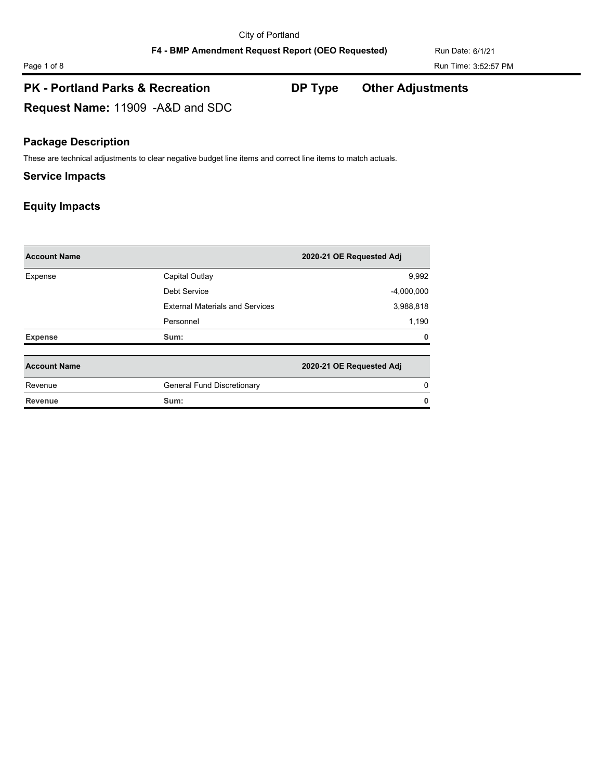**Request Name:** 11909 -A&D and SDC

### **Package Description**

These are technical adjustments to clear negative budget line items and correct line items to match actuals.

#### **Service Impacts**

| <b>Account Name</b> |                                        | 2020-21 OE Requested Adj |
|---------------------|----------------------------------------|--------------------------|
| Expense             | Capital Outlay                         | 9,992                    |
|                     | Debt Service                           | $-4,000,000$             |
|                     | <b>External Materials and Services</b> | 3,988,818                |
|                     | Personnel                              | 1,190                    |
| <b>Expense</b>      | Sum:                                   | 0                        |
| <b>Account Name</b> |                                        | 2020-21 OE Requested Adj |
| Revenue             | General Fund Discretionary             | 0                        |
| <b>Revenue</b>      | Sum:                                   | 0                        |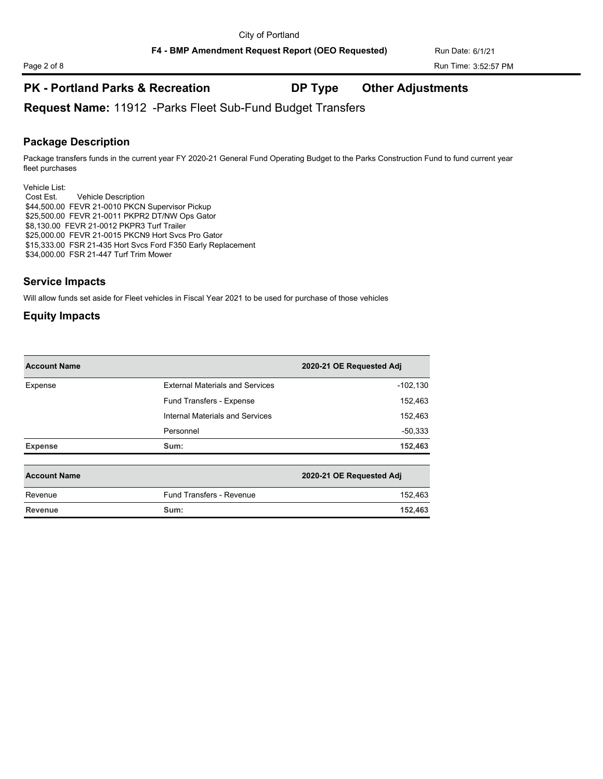**Request Name:** 11912 -Parks Fleet Sub-Fund Budget Transfers

#### **Package Description**

Package transfers funds in the current year FY 2020-21 General Fund Operating Budget to the Parks Construction Fund to fund current year fleet purchases

Vehicle List: Cost Est. Vehicle Description \$44,500.00 FEVR 21-0010 PKCN Supervisor Pickup \$25,500.00 FEVR 21-0011 PKPR2 DT/NW Ops Gator \$8,130.00 FEVR 21-0012 PKPR3 Turf Trailer \$25,000.00 FEVR 21-0015 PKCN9 Hort Svcs Pro Gator \$15,333.00 FSR 21-435 Hort Svcs Ford F350 Early Replacement \$34,000.00 FSR 21-447 Turf Trim Mower

### **Service Impacts**

Will allow funds set aside for Fleet vehicles in Fiscal Year 2021 to be used for purchase of those vehicles

| <b>Account Name</b> |                                        | 2020-21 OE Requested Adj |
|---------------------|----------------------------------------|--------------------------|
| Expense             | <b>External Materials and Services</b> | $-102,130$               |
|                     | Fund Transfers - Expense               | 152,463                  |
|                     | Internal Materials and Services        | 152,463                  |
|                     | Personnel                              | $-50,333$                |
| <b>Expense</b>      | Sum:                                   | 152,463                  |

| <b>Account Name</b> |                                 | 2020-21 OE Requested Adj |
|---------------------|---------------------------------|--------------------------|
| Revenue             | <b>Fund Transfers - Revenue</b> | 152.463                  |
| Revenue             | Sum:                            | 152.463                  |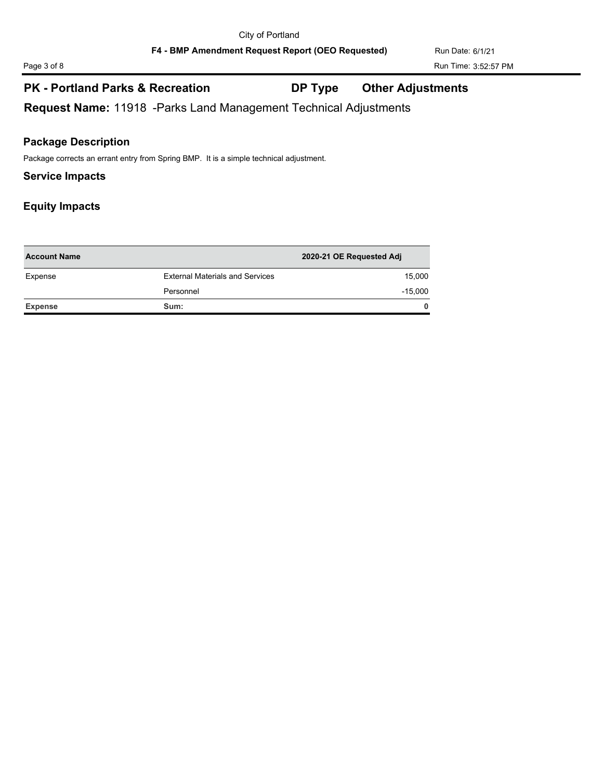**Request Name:** 11918 -Parks Land Management Technical Adjustments

#### **Package Description**

Package corrects an errant entry from Spring BMP. It is a simple technical adjustment.

#### **Service Impacts**

| <b>Account Name</b> |                                        | 2020-21 OE Requested Adj |
|---------------------|----------------------------------------|--------------------------|
| Expense             | <b>External Materials and Services</b> | 15,000                   |
|                     | Personnel                              | $-15.000$                |
| Expense             | Sum:                                   | $\mathbf{0}$             |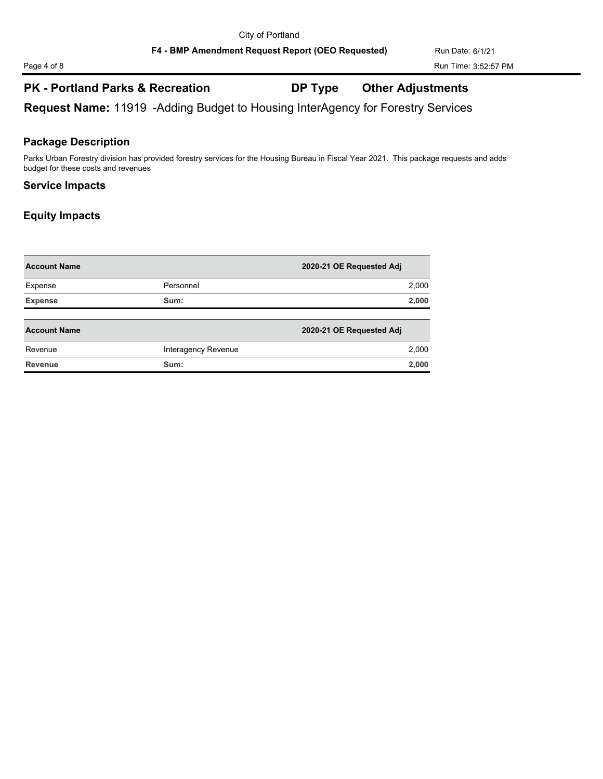**Request Name:** 11919 -Adding Budget to Housing InterAgency for Forestry Services

#### **Package Description**

Parks Urban Forestry division has provided forestry services for the Housing Bureau in Fiscal Year 2021. This package requests and adds budget for these costs and revenues

#### **Service Impacts**

| <b>Account Name</b> |                     | 2020-21 OE Requested Adj |
|---------------------|---------------------|--------------------------|
| Expense             | Personnel           | 2,000                    |
| <b>Expense</b>      | Sum:                | 2,000                    |
| <b>Account Name</b> |                     | 2020-21 OE Requested Adj |
| Revenue             | Interagency Revenue | 2,000                    |
| <b>Revenue</b>      | Sum:                | 2,000                    |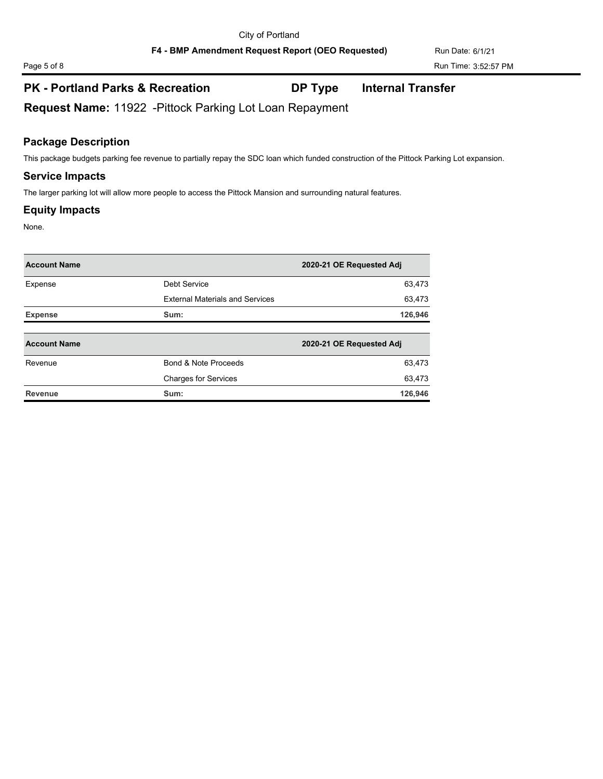F4 - BMP Amendment Request Report (OEO Requested) Run Date: 6/1/21

# **PK - Portland Parks & Recreation DP Type Internal Transfer**

**Request Name:** 11922 -Pittock Parking Lot Loan Repayment

#### **Package Description**

This package budgets parking fee revenue to partially repay the SDC loan which funded construction of the Pittock Parking Lot expansion.

#### **Service Impacts**

The larger parking lot will allow more people to access the Pittock Mansion and surrounding natural features.

#### **Equity Impacts**

None.

| <b>Account Name</b> |                                        | 2020-21 OE Requested Adj |
|---------------------|----------------------------------------|--------------------------|
| Expense             | Debt Service                           | 63,473                   |
|                     | <b>External Materials and Services</b> | 63,473                   |
| <b>Expense</b>      | Sum:                                   | 126,946                  |
|                     |                                        |                          |
| <b>Account Name</b> |                                        | 2020-21 OE Requested Adj |
| Revenue             | Bond & Note Proceeds                   | 63,473                   |
|                     | <b>Charges for Services</b>            | 63,473                   |
| Revenue             | Sum:                                   | 126.946                  |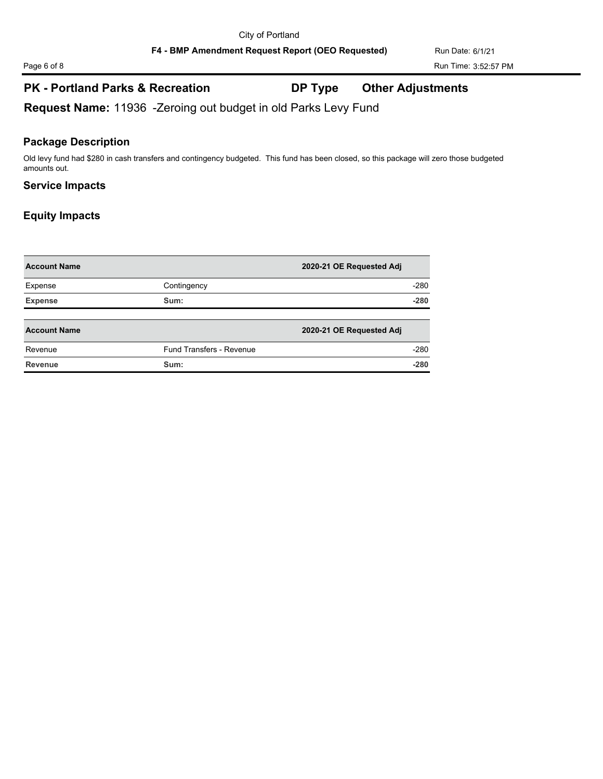F4 - BMP Amendment Request Report (OEO Requested) Run Date: 6/1/21

# **PK - Portland Parks & Recreation DP Type Other Adjustments**

**Request Name:** 11936 -Zeroing out budget in old Parks Levy Fund

#### **Package Description**

Old levy fund had \$280 in cash transfers and contingency budgeted. This fund has been closed, so this package will zero those budgeted amounts out.

### **Service Impacts**

| <b>Account Name</b> |                                 | 2020-21 OE Requested Adj |        |
|---------------------|---------------------------------|--------------------------|--------|
| Expense             | Contingency                     |                          | $-280$ |
| <b>Expense</b>      | Sum:                            |                          | $-280$ |
|                     |                                 |                          |        |
| <b>Account Name</b> |                                 | 2020-21 OE Requested Adj |        |
| Revenue             | <b>Fund Transfers - Revenue</b> |                          | $-280$ |
| Revenue             | Sum:                            |                          | $-280$ |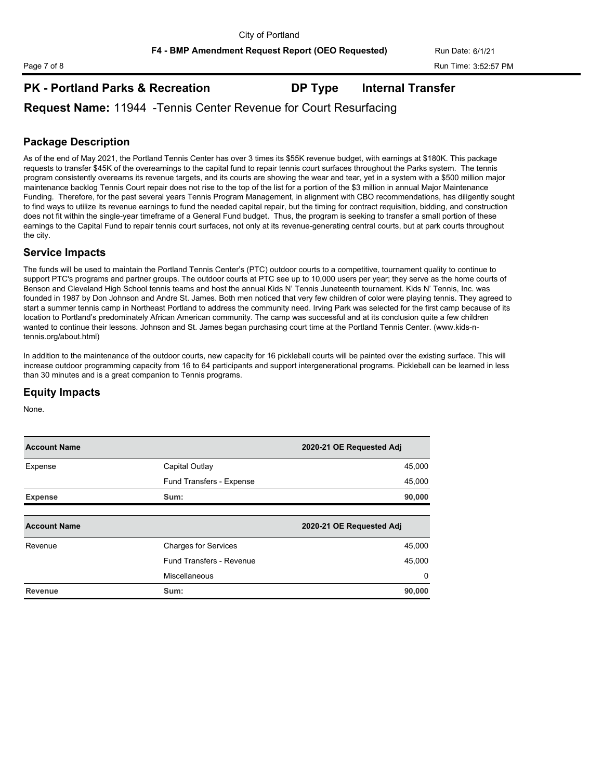### **PK - Portland Parks & Recreation DP Type Internal Transfer**

**Request Name:** 11944 -Tennis Center Revenue for Court Resurfacing

### **Package Description**

As of the end of May 2021, the Portland Tennis Center has over 3 times its \$55K revenue budget, with earnings at \$180K. This package requests to transfer \$45K of the overearnings to the capital fund to repair tennis court surfaces throughout the Parks system. The tennis program consistently overearns its revenue targets, and its courts are showing the wear and tear, yet in a system with a \$500 million major maintenance backlog Tennis Court repair does not rise to the top of the list for a portion of the \$3 million in annual Major Maintenance Funding. Therefore, for the past several years Tennis Program Management, in alignment with CBO recommendations, has diligently sought to find ways to utilize its revenue earnings to fund the needed capital repair, but the timing for contract requisition, bidding, and construction does not fit within the single-year timeframe of a General Fund budget. Thus, the program is seeking to transfer a small portion of these earnings to the Capital Fund to repair tennis court surfaces, not only at its revenue-generating central courts, but at park courts throughout the city.

#### **Service Impacts**

The funds will be used to maintain the Portland Tennis Center's (PTC) outdoor courts to a competitive, tournament quality to continue to support PTC's programs and partner groups. The outdoor courts at PTC see up to 10,000 users per year; they serve as the home courts of Benson and Cleveland High School tennis teams and host the annual Kids N' Tennis Juneteenth tournament. Kids N' Tennis, Inc. was founded in 1987 by Don Johnson and Andre St. James. Both men noticed that very few children of color were playing tennis. They agreed to start a summer tennis camp in Northeast Portland to address the community need. Irving Park was selected for the first camp because of its location to Portland's predominately African American community. The camp was successful and at its conclusion quite a few children wanted to continue their lessons. Johnson and St. James began purchasing court time at the Portland Tennis Center. (www.kids-ntennis.org/about.html)

In addition to the maintenance of the outdoor courts, new capacity for 16 pickleball courts will be painted over the existing surface. This will increase outdoor programming capacity from 16 to 64 participants and support intergenerational programs. Pickleball can be learned in less than 30 minutes and is a great companion to Tennis programs.

#### **Equity Impacts**

None.

| <b>Account Name</b> |                             | 2020-21 OE Requested Adj |
|---------------------|-----------------------------|--------------------------|
| Expense             | Capital Outlay              | 45,000                   |
|                     | Fund Transfers - Expense    | 45,000                   |
| <b>Expense</b>      | Sum:                        | 90,000                   |
|                     |                             |                          |
| <b>Account Name</b> |                             | 2020-21 OE Requested Adj |
| Revenue             | <b>Charges for Services</b> | 45,000                   |
|                     | Fund Transfers - Revenue    | 45,000                   |
|                     | Miscellaneous               | $\Omega$                 |